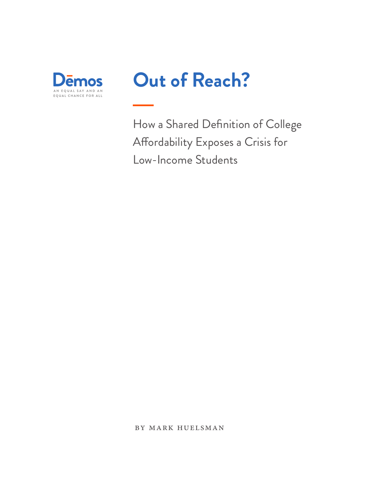

# **Out of Reach?**

How a Shared Definition of College Afordability Exposes a Crisis for Low-Income Students

by mark huelsman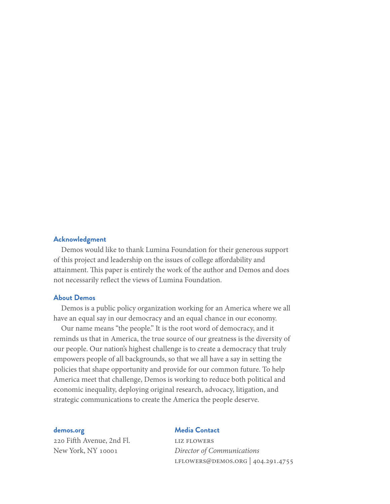#### **Acknowledgment**

Demos would like to thank Lumina Foundation for their generous support of this project and leadership on the issues of college afordability and attainment. This paper is entirely the work of the author and Demos and does not necessarily refect the views of Lumina Foundation.

#### **About Demos**

Demos is a public policy organization working for an America where we all have an equal say in our democracy and an equal chance in our economy.

Our name means "the people." It is the root word of democracy, and it reminds us that in America, the true source of our greatness is the diversity of our people. Our nation's highest challenge is to create a democracy that truly empowers people of all backgrounds, so that we all have a say in setting the policies that shape opportunity and provide for our common future. To help America meet that challenge, Demos is working to reduce both political and economic inequality, deploying original research, advocacy, litigation, and strategic communications to create the America the people deserve.

#### **demos.org**

220 Fifh Avenue, 2nd Fl. New York, NY 10001

#### **Media Contact**

liz flowers *Director of Communications* lflowers@demos.org | 404.291.4755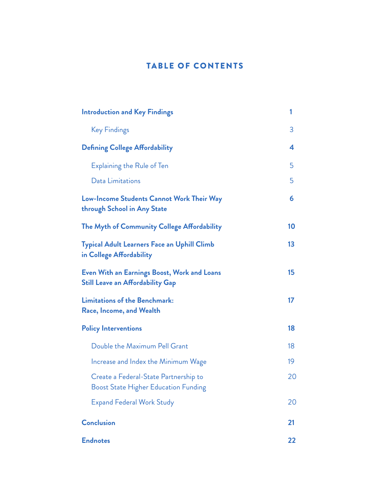# TABLE OF CONTENTS

| <b>Introduction and Key Findings</b>                                                   | 1  |
|----------------------------------------------------------------------------------------|----|
| <b>Key Findings</b>                                                                    | 3  |
| <b>Defining College Affordability</b>                                                  | 4  |
| <b>Explaining the Rule of Ten</b>                                                      | 5  |
| Data Limitations                                                                       | 5  |
| Low-Income Students Cannot Work Their Way<br>through School in Any State               | 6  |
| The Myth of Community College Affordability                                            | 10 |
| <b>Typical Adult Learners Face an Uphill Climb</b><br>in College Affordability         | 13 |
| Even With an Earnings Boost, Work and Loans<br><b>Still Leave an Affordability Gap</b> | 15 |
| <b>Limitations of the Benchmark:</b><br>Race, Income, and Wealth                       | 17 |
| <b>Policy Interventions</b>                                                            | 18 |
| Double the Maximum Pell Grant                                                          | 18 |
| Increase and Index the Minimum Wage                                                    | 19 |
| Create a Federal-State Partnership to<br><b>Boost State Higher Education Funding</b>   | 20 |
| <b>Expand Federal Work Study</b>                                                       | 20 |
| <b>Conclusion</b>                                                                      | 21 |
| <b>Endnotes</b>                                                                        | 22 |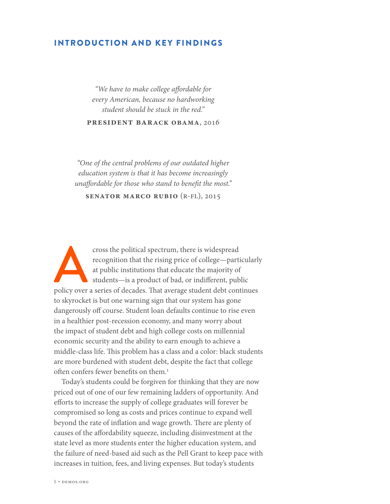## INTRODUCTION AND KEY FINDINGS

*"We have to make college a*f*ordable for every American, because no hardworking student should be stuck in the red."*

**president barack obama**, 2016

*"One of the central problems of our outdated higher education system is that it has become increasingly una*f*ordable for those who stand to bene*f*t the most."*

**senator marco rubio** (r-fl), 2015

cross the political spectrum, there is widespread recognition that the rising price of college—particularly at public institutions that educate the majority of students—is a product of bad, or indifferent, public policy ov recognition that the rising price of college—particularly at public institutions that educate the majority of students—is a product of bad, or indiferent, public to skyrocket is but one warning sign that our system has gone dangerously off course. Student loan defaults continue to rise even in a healthier post-recession economy, and many worry about the impact of student debt and high college costs on millennial economic security and the ability to earn enough to achieve a middle-class life. This problem has a class and a color: black students are more burdened with student debt, despite the fact that college often confers fewer benefits on them.<sup>1</sup>

Today's students could be forgiven for thinking that they are now priced out of one of our few remaining ladders of opportunity. And eforts to increase the supply of college graduates will forever be compromised so long as costs and prices continue to expand well beyond the rate of inflation and wage growth. There are plenty of causes of the afordability squeeze, including disinvestment at the state level as more students enter the higher education system, and the failure of need-based aid such as the Pell Grant to keep pace with increases in tuition, fees, and living expenses. But today's students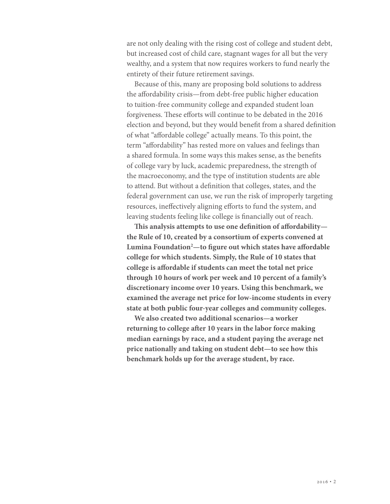are not only dealing with the rising cost of college and student debt, but increased cost of child care, stagnant wages for all but the very wealthy, and a system that now requires workers to fund nearly the entirety of their future retirement savings.

Because of this, many are proposing bold solutions to address the afordability crisis—from debt-free public higher education to tuition-free community college and expanded student loan forgiveness. These efforts will continue to be debated in the 2016 election and beyond, but they would beneft from a shared defnition of what "afordable college" actually means. To this point, the term "afordability" has rested more on values and feelings than a shared formula. In some ways this makes sense, as the benefts of college vary by luck, academic preparedness, the strength of the macroeconomy, and the type of institution students are able to attend. But without a defnition that colleges, states, and the federal government can use, we run the risk of improperly targeting resources, inefectively aligning eforts to fund the system, and leaving students feeling like college is fnancially out of reach.

**Tis analysis attempts to use one defnition of afordability the Rule of 10, created by a consortium of experts convened at Lumina Foundation2 —to fgure out which states have afordable college for which students. Simply, the Rule of 10 states that college is afordable if students can meet the total net price through 10 hours of work per week and 10 percent of a family's discretionary income over 10 years. Using this benchmark, we examined the average net price for low-income students in every state at both public four-year colleges and community colleges.** 

**We also created two additional scenarios—a worker returning to college afer 10 years in the labor force making median earnings by race, and a student paying the average net price nationally and taking on student debt—to see how this benchmark holds up for the average student, by race.**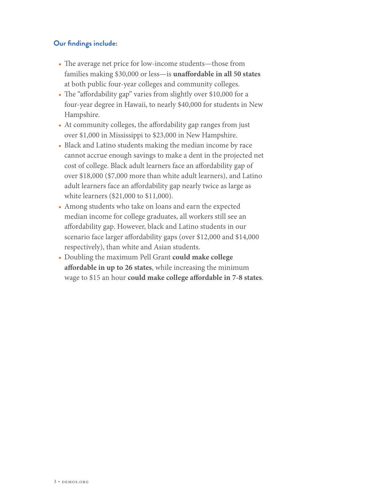## **Our findings include:**

- The average net price for low-income students—those from families making \$30,000 or less—is **unafordable in all 50 states** at both public four-year colleges and community colleges.
- The "affordability gap" varies from slightly over \$10,000 for a four-year degree in Hawaii, to nearly \$40,000 for students in New Hampshire.
- At community colleges, the afordability gap ranges from just over \$1,000 in Mississippi to \$23,000 in New Hampshire.
- Black and Latino students making the median income by race cannot accrue enough savings to make a dent in the projected net cost of college. Black adult learners face an afordability gap of over \$18,000 (\$7,000 more than white adult learners), and Latino adult learners face an afordability gap nearly twice as large as white learners (\$21,000 to \$11,000).
- Among students who take on loans and earn the expected median income for college graduates, all workers still see an afordability gap. However, black and Latino students in our scenario face larger afordability gaps (over \$12,000 and \$14,000 respectively), than white and Asian students.
- Doubling the maximum Pell Grant **could make college afordable in up to 26 states**, while increasing the minimum wage to \$15 an hour **could make college afordable in 7-8 states**.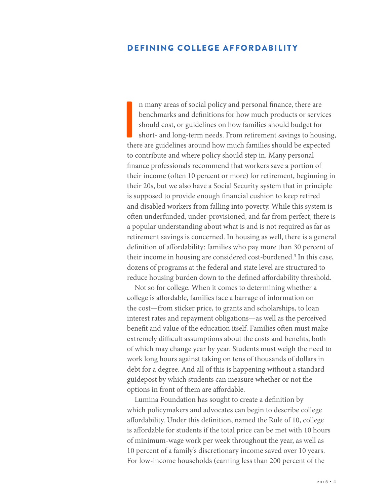## DEFINING COLLEGE AFFORDABILITY

I<br>I the n many areas of social policy and personal fnance, there are benchmarks and defnitions for how much products or services should cost, or guidelines on how families should budget for short- and long-term needs. From retirement savings to housing, there are guidelines around how much families should be expected to contribute and where policy should step in. Many personal fnance professionals recommend that workers save a portion of their income (ofen 10 percent or more) for retirement, beginning in their 20s, but we also have a Social Security system that in principle is supposed to provide enough fnancial cushion to keep retired and disabled workers from falling into poverty. While this system is ofen underfunded, under-provisioned, and far from perfect, there is a popular understanding about what is and is not required as far as retirement savings is concerned. In housing as well, there is a general defnition of afordability: families who pay more than 30 percent of their income in housing are considered cost-burdened.<sup>3</sup> In this case, dozens of programs at the federal and state level are structured to reduce housing burden down to the defined affordability threshold.

Not so for college. When it comes to determining whether a college is afordable, families face a barrage of information on the cost—from sticker price, to grants and scholarships, to loan interest rates and repayment obligations—as well as the perceived benefit and value of the education itself. Families often must make extremely difficult assumptions about the costs and benefits, both of which may change year by year. Students must weigh the need to work long hours against taking on tens of thousands of dollars in debt for a degree. And all of this is happening without a standard guidepost by which students can measure whether or not the options in front of them are afordable.

Lumina Foundation has sought to create a defnition by which policymakers and advocates can begin to describe college afordability. Under this defnition, named the Rule of 10, college is afordable for students if the total price can be met with 10 hours of minimum-wage work per week throughout the year, as well as 10 percent of a family's discretionary income saved over 10 years. For low-income households (earning less than 200 percent of the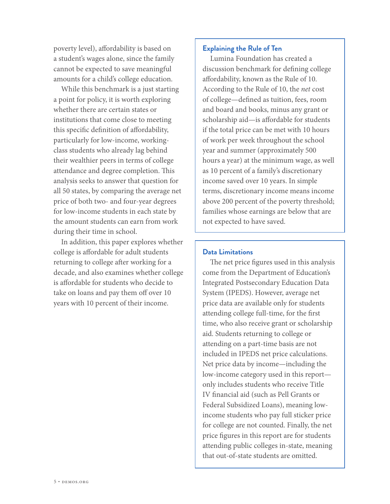poverty level), afordability is based on a student's wages alone, since the family cannot be expected to save meaningful amounts for a child's college education.

While this benchmark is a just starting a point for policy, it is worth exploring whether there are certain states or institutions that come close to meeting this specifc defnition of afordability, particularly for low-income, workingclass students who already lag behind their wealthier peers in terms of college attendance and degree completion. This analysis seeks to answer that question for all 50 states, by comparing the average net price of both two- and four-year degrees for low-income students in each state by the amount students can earn from work during their time in school.

In addition, this paper explores whether college is afordable for adult students returning to college after working for a decade, and also examines whether college is afordable for students who decide to take on loans and pay them off over 10 years with 10 percent of their income.

#### **Explaining the Rule of Ten**

Lumina Foundation has created a discussion benchmark for defning college afordability, known as the Rule of 10. According to the Rule of 10, the *net* cost of college—defned as tuition, fees, room and board and books, minus any grant or scholarship aid—is afordable for students if the total price can be met with 10 hours of work per week throughout the school year and summer (approximately 500 hours a year) at the minimum wage, as well as 10 percent of a family's discretionary income saved over 10 years. In simple terms, discretionary income means income above 200 percent of the poverty threshold; families whose earnings are below that are not expected to have saved.

#### **Data Limitations**

The net price figures used in this analysis come from the Department of Education's Integrated Postsecondary Education Data System (IPEDS). However, average net price data are available only for students attending college full-time, for the frst time, who also receive grant or scholarship aid. Students returning to college or attending on a part-time basis are not included in IPEDS net price calculations. Net price data by income—including the low-income category used in this report only includes students who receive Title IV fnancial aid (such as Pell Grants or Federal Subsidized Loans), meaning lowincome students who pay full sticker price for college are not counted. Finally, the net price fgures in this report are for students attending public colleges in-state, meaning that out-of-state students are omitted.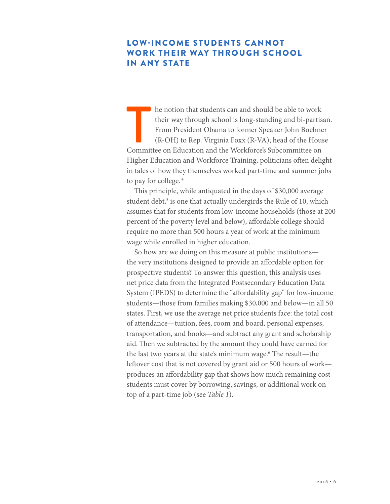# LOW-INCOME STUDENTS CANNOT WORK THEIR WAY THROUGH SCHOOL IN ANY STATE

The notion that students can and should be able to work<br>their way through school is long-standing and bi-partis<br>From President Obama to former Speaker John Boehne<br>(R-OH) to Rep. Virginia Foxx (R-VA), head of the Hous<br>Commi he notion that students can and should be able to work their way through school is long-standing and bi-partisan. From President Obama to former Speaker John Boehner (R-OH) to Rep. Virginia Foxx (R-VA), head of the House Higher Education and Workforce Training, politicians ofen delight in tales of how they themselves worked part-time and summer jobs to pay for college. 4

This principle, while antiquated in the days of \$30,000 average student debt,<sup>5</sup> is one that actually undergirds the Rule of 10, which assumes that for students from low-income households (those at 200 percent of the poverty level and below), afordable college should require no more than 500 hours a year of work at the minimum wage while enrolled in higher education.

So how are we doing on this measure at public institutions the very institutions designed to provide an afordable option for prospective students? To answer this question, this analysis uses net price data from the Integrated Postsecondary Education Data System (IPEDS) to determine the "afordability gap" for low-income students—those from families making \$30,000 and below—in all 50 states. First, we use the average net price students face: the total cost of attendance—tuition, fees, room and board, personal expenses, transportation, and books—and subtract any grant and scholarship aid. Then we subtracted by the amount they could have earned for the last two years at the state's minimum wage.<sup>6</sup> The result—the leftover cost that is not covered by grant aid or 500 hours of work produces an afordability gap that shows how much remaining cost students must cover by borrowing, savings, or additional work on top of a part-time job (see *Table 1*).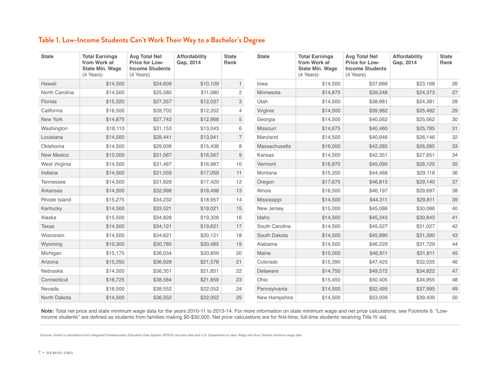## **Table 1. Low-Income Students Can't Work Their Way to a Bachelor's Degree**

| <b>State</b>   | <b>Total Earnings</b><br>from Work at<br><b>State Min. Wage</b><br>(4 Years) | <b>Avg Total Net</b><br>Price for Low-<br><b>Income Students</b><br>(4 Years) | Affordability<br>Gap, 2014 | <b>State</b><br>Rank  | <b>State</b>         | <b>Total Earnings</b><br>from Work at<br><b>State Min. Wage</b><br>(4 Years) | <b>Avg Total Net</b><br>Price for Low-<br><b>Income Students</b><br>(4 Years) | Affordability<br>Gap, 2014 | <b>State</b><br>Rank |
|----------------|------------------------------------------------------------------------------|-------------------------------------------------------------------------------|----------------------------|-----------------------|----------------------|------------------------------------------------------------------------------|-------------------------------------------------------------------------------|----------------------------|----------------------|
| Hawaii         | \$14,500                                                                     | \$24,609                                                                      | \$10,109                   | $\mathbf{1}$          | lowa                 | \$14,500                                                                     | \$37,668                                                                      | \$23,168                   | 26                   |
| North Carolina | \$14,500                                                                     | \$25,580                                                                      | \$11,080                   | $\mathbf{2}^{\prime}$ | Minnesota            | \$14,875                                                                     | \$39,248                                                                      | \$24,373                   | 27                   |
| Florida        | \$15,320                                                                     | \$27,357                                                                      | \$12,037                   | $\mathbf{3}$          | Utah                 | \$14,500                                                                     | \$38,881                                                                      | \$24,381                   | 28                   |
| California     | \$16,500                                                                     | \$28,702                                                                      | \$12,202                   | $\overline{4}$        | Virginia             | \$14,500                                                                     | \$39,982                                                                      | \$25,482                   | 29                   |
| New York       | \$14,875                                                                     | \$27,743                                                                      | \$12,868                   | 5                     | Georgia              | \$14,500                                                                     | \$40,062                                                                      | \$25,562                   | 30                   |
| Washington     | \$18,110                                                                     | \$31,153                                                                      | \$13,043                   | 6                     | Missouri             | \$14,675                                                                     | \$40,460                                                                      | \$25,785                   | 31                   |
| Louisiana      | \$14,500                                                                     | \$28,441                                                                      | \$13,941                   | $\overline{7}$        | Maryland             | \$14,500                                                                     | \$40,646                                                                      | \$26,146                   | 32                   |
| Oklahoma       | \$14,500                                                                     | \$29,938                                                                      | \$15,438                   | 8                     | <b>Massachusetts</b> | \$16,000                                                                     | \$42,285                                                                      | \$26,285                   | 33                   |
| New Mexico     | \$15,000                                                                     | \$31,567                                                                      | \$16,567                   | $9\,$                 | Kansas               | \$14,500                                                                     | \$42,351                                                                      | \$27,851                   | 34                   |
| West Virginia  | \$14,500                                                                     | \$31,487                                                                      | \$16,987                   | 10                    | Vermont              | \$16,970                                                                     | \$45,095                                                                      | \$28,125                   | 35                   |
| Indiana        | \$14,500                                                                     | \$31,559                                                                      | \$17,059                   | 11                    | Montana              | \$15,350                                                                     | \$44,468                                                                      | \$29,118                   | 36                   |
| Tennessee      | \$14,500                                                                     | \$31,929                                                                      | \$17,429                   | 12                    | Oregon               | \$17,675                                                                     | \$46,815                                                                      | \$29,140                   | 37                   |
| Arkansas       | \$14,500                                                                     | \$32,998                                                                      | \$18,498                   | 13                    | <b>Illinois</b>      | \$16,500                                                                     | \$46,197                                                                      | \$29,697                   | 38                   |
| Rhode Island   | \$15,275                                                                     | \$34,232                                                                      | \$18,957                   | 14                    | Mississippi          | \$14,500                                                                     | \$44,311                                                                      | \$29,811                   | 39                   |
| Kentucky       | \$14,500                                                                     | \$33,521                                                                      | \$19,021                   | 15                    | New Jersey           | \$15,000                                                                     | \$45,086                                                                      | \$30,086                   | 40                   |
| Alaska         | \$15,500                                                                     | \$34,828                                                                      | \$19,328                   | 16                    | Idaho                | \$14,500                                                                     | \$45,343                                                                      | \$30,843                   | 41                   |
| <b>Texas</b>   | \$14,500                                                                     | \$34,121                                                                      | \$19,621                   | 17                    | South Carolina       | \$14,500                                                                     | \$45,527                                                                      | \$31,027                   | 42                   |
| Wisconsin      | \$14,500                                                                     | \$34,621                                                                      | \$20,121                   | 18                    | South Dakota         | \$14,500                                                                     | \$45,890                                                                      | \$31,390                   | 43                   |
| Wyoming        | \$10,300                                                                     | \$30,785                                                                      | \$20,485                   | 19                    | Alabama              | \$14,500                                                                     | \$46,229                                                                      | \$31,729                   | 44                   |
| Michigan       | \$15,175                                                                     | \$36,034                                                                      | \$20,859                   | 20                    | Maine                | \$15,000                                                                     | \$46,811                                                                      | \$31,811                   | 45                   |
| Arizona        | \$15,350                                                                     | \$36,928                                                                      | \$21,578                   | 21                    | Colorado             | \$15,390                                                                     | \$47,425                                                                      | \$32,035                   | 46                   |
| Nebraska       | \$14,500                                                                     | \$36,351                                                                      | \$21,851                   | 22                    | Delaware             | \$14,750                                                                     | \$49,572                                                                      | \$34,822                   | 47                   |
| Connecticut    | \$16,725                                                                     | \$38,584                                                                      | \$21,859                   | 23                    | Ohio                 | \$15,450                                                                     | \$50,405                                                                      | \$34,955                   | 48                   |
| Nevada         | \$16,500                                                                     | \$38,552                                                                      | \$22,052                   | 24                    | Pennsylvania         | \$14,500                                                                     | \$52,495                                                                      | \$37,995                   | 49                   |
| North Dakota   | \$14,500                                                                     | \$36,552                                                                      | \$22,052                   | 25                    | New Hampshire        | \$14,500                                                                     | \$53,939                                                                      | \$39,439                   | 50                   |

**Note:** Total net price and state minimum wage data for the years 2010-11 to 2013-14. For more information on state minimum wage and net price calculations, see Footnote 6. "Lowincome students" are defned as students from families making \$0-\$30,000. Net price calculations are for frst-time, full-time students receiving Title IV aid.

Sources: Author's calculations from Integrated Postsecondary Education Data System (IPEDS) net price data and U.S. Department of Labor Wage and Hour Division minimum wage data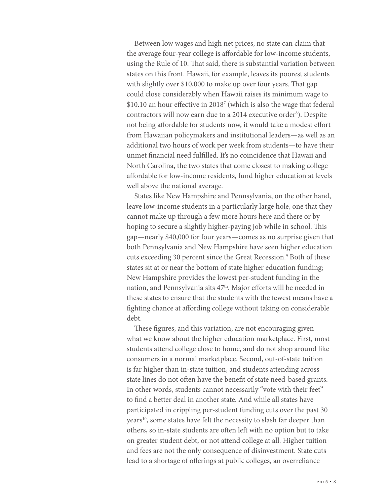Between low wages and high net prices, no state can claim that the average four-year college is afordable for low-income students, using the Rule of 10. That said, there is substantial variation between states on this front. Hawaii, for example, leaves its poorest students with slightly over \$10,000 to make up over four years. That gap could close considerably when Hawaii raises its minimum wage to \$10.10 an hour efective in 20187 (which is also the wage that federal contractors will now earn due to a 2014 executive order<sup>8</sup>). Despite not being affordable for students now, it would take a modest effort from Hawaiian policymakers and institutional leaders—as well as an additional two hours of work per week from students—to have their unmet fnancial need fulflled. It's no coincidence that Hawaii and North Carolina, the two states that come closest to making college afordable for low-income residents, fund higher education at levels well above the national average.

States like New Hampshire and Pennsylvania, on the other hand, leave low-income students in a particularly large hole, one that they cannot make up through a few more hours here and there or by hoping to secure a slightly higher-paying job while in school. This gap—nearly \$40,000 for four years—comes as no surprise given that both Pennsylvania and New Hampshire have seen higher education cuts exceeding 30 percent since the Great Recession.<sup>9</sup> Both of these states sit at or near the bottom of state higher education funding; New Hampshire provides the lowest per-student funding in the nation, and Pennsylvania sits  $47<sup>th</sup>$ . Major efforts will be needed in these states to ensure that the students with the fewest means have a fghting chance at afording college without taking on considerable debt.

These figures, and this variation, are not encouraging given what we know about the higher education marketplace. First, most students attend college close to home, and do not shop around like consumers in a normal marketplace. Second, out-of-state tuition is far higher than in-state tuition, and students attending across state lines do not often have the benefit of state need-based grants. In other words, students cannot necessarily "vote with their feet" to fnd a better deal in another state. And while all states have participated in crippling per-student funding cuts over the past 30 years<sup>10</sup>, some states have felt the necessity to slash far deeper than others, so in-state students are often left with no option but to take on greater student debt, or not attend college at all. Higher tuition and fees are not the only consequence of disinvestment. State cuts lead to a shortage of oferings at public colleges, an overreliance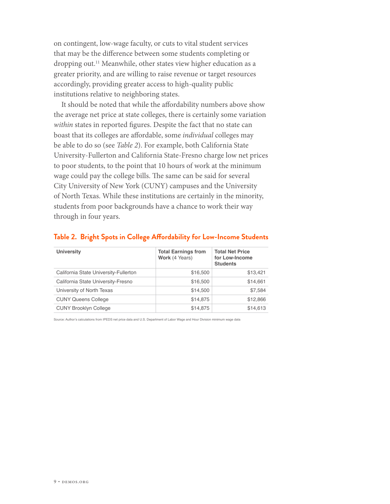on contingent, low-wage faculty, or cuts to vital student services that may be the diference between some students completing or dropping out.11 Meanwhile, other states view higher education as a greater priority, and are willing to raise revenue or target resources accordingly, providing greater access to high-quality public institutions relative to neighboring states.

It should be noted that while the afordability numbers above show the average net price at state colleges, there is certainly some variation *within* states in reported fgures. Despite the fact that no state can boast that its colleges are afordable, some *individual* colleges may be able to do so (see *Table 2*). For example, both California State University-Fullerton and California State-Fresno charge low net prices to poor students, to the point that 10 hours of work at the minimum wage could pay the college bills. The same can be said for several City University of New York (CUNY) campuses and the University of North Texas. While these institutions are certainly in the minority, students from poor backgrounds have a chance to work their way through in four years.

| <b>University</b>                     | <b>Total Earnings from</b><br>Work (4 Years) | <b>Total Net Price</b><br>for Low-Income<br><b>Students</b> |
|---------------------------------------|----------------------------------------------|-------------------------------------------------------------|
| California State University-Fullerton | \$16,500                                     | \$13,421                                                    |
| California State University-Fresno    | \$16,500                                     | \$14,661                                                    |
| University of North Texas             | \$14,500                                     | \$7,584                                                     |
| <b>CUNY Queens College</b>            | \$14,875                                     | \$12,866                                                    |
| <b>CUNY Brooklyn College</b>          | \$14,875                                     | \$14,613                                                    |

#### **Table 2. Bright Spots in College Afordability for Low-Income Students**

Source: Author's calculations from IPEDS net price data and U.S. Department of Labor Wage and Hour Division minimum wage data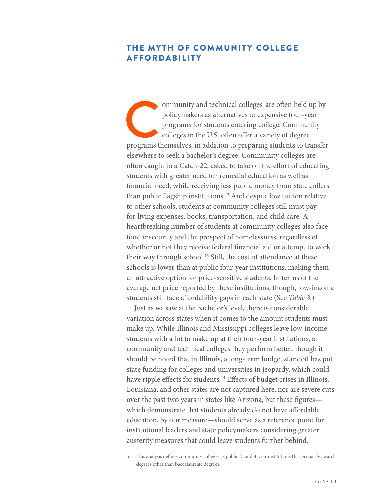# THE MYTH OF COMMUNITY COLLEGE AFFORDABILITY

students with greater need for remedial education as well as to other schools, students at community colleges still must pay ommunity and technical colleges<sup>i</sup> are often held up by policymakers as alternatives to expensive four-year programs for students entering college. Community colleges in the U.S. often offer a variety of degree programs th ommunity and technical colleges<sup>i</sup> are often held up by policymakers as alternatives to expensive four-year programs for students entering college. Community colleges in the U.S. often offer a variety of degree elsewhere to seek a bachelor's degree. Community colleges are often caught in a Catch-22, asked to take on the effort of educating fnancial need, while receiving less public money from state cofers than public fagship institutions.12 And despite low tuition relative for living expenses, books, transportation, and child care. A heartbreaking number of students at community colleges also face food insecurity and the prospect of homelessness, regardless of whether or not they receive federal fnancial aid or attempt to work their way through school.<sup>13</sup> Still, the cost of attendance at these schools is lower than at public four-year institutions, making them an attractive option for price-sensitive students. In terms of the average net price reported by these institutions, though, low-income students still face afordability gaps in each state (See *Table 3*.)

Just as we saw at the bachelor's level, there is considerable variation across states when it comes to the amount students must make up. While Illinois and Mississippi colleges leave low-income students with a lot to make up at their four-year institutions, at community and technical colleges they perform better, though it should be noted that in Illinois, a long-term budget standoff has put state funding for colleges and universities in jeopardy, which could have ripple effects for students.<sup>14</sup> Effects of budget crises in Illinois, Louisiana, and other states are not captured here, nor are severe cuts over the past two years in states like Arizona, but these fgures which demonstrate that students already do not have affordable education, by our measure—should serve as a reference point for institutional leaders and state policymakers considering greater austerity measures that could leave students further behind.

i. Tis analysis defnes community colleges as public 2- and 4-year institutions that primarily award degrees other than baccalaureate degrees.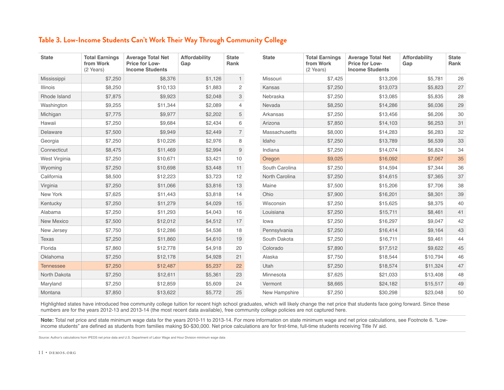## **Table 3. Low-Income Students Can't Work Their Way Through Community College**

| <b>State</b>     | <b>Total Earnings</b><br>from Work | <b>Average Total Net</b><br>Price for Low- | Affordability<br>Gap | <b>State</b><br>Rank  | <b>State</b>   | <b>Total Earnings</b><br>from Work | <b>Average Total Net</b><br>Price for Low- | Affordability<br>Gap | <b>State</b><br>Rank |
|------------------|------------------------------------|--------------------------------------------|----------------------|-----------------------|----------------|------------------------------------|--------------------------------------------|----------------------|----------------------|
|                  | (2 Years)                          | <b>Income Students</b>                     |                      |                       |                | (2 Years)                          | <b>Income Students</b>                     |                      |                      |
| Mississippi      | \$7,250                            | \$8,376                                    | \$1,126              | $\mathbf{1}$          | Missouri       | \$7,425                            | \$13,206                                   | \$5,781              | 26                   |
| Illinois         | \$8,250                            | \$10,133                                   | \$1,883              | $\mathbf{2}^{\prime}$ | Kansas         | \$7,250                            | \$13,073                                   | \$5,823              | 27                   |
| Rhode Island     | \$7,875                            | \$9,923                                    | \$2,048              | 3                     | Nebraska       | \$7,250                            | \$13,085                                   | \$5,835              | 28                   |
| Washington       | \$9,255                            | \$11,344                                   | \$2,089              | $\overline{4}$        | Nevada         | \$8,250                            | \$14,286                                   | \$6,036              | 29                   |
| Michigan         | \$7,775                            | \$9,977                                    | \$2,202              | 5                     | Arkansas       | \$7,250                            | \$13,456                                   | \$6,206              | $30\,$               |
| Hawaii           | \$7,250                            | \$9,684                                    | \$2,434              | 6                     | Arizona        | \$7,850                            | \$14,103                                   | \$6,253              | 31                   |
| Delaware         | \$7,500                            | \$9,949                                    | \$2,449              | $\overline{7}$        | Massachusetts  | \$8,000                            | \$14,283                                   | \$6,283              | 32                   |
| Georgia          | \$7,250                            | \$10,226                                   | \$2,976              | 8                     | Idaho          | \$7,250                            | \$13,789                                   | \$6,539              | 33                   |
| Connecticut      | \$8,475                            | \$11,469                                   | \$2,994              | $\overline{9}$        | Indiana        | \$7,250                            | \$14,074                                   | \$6,824              | 34                   |
| West Virginia    | \$7,250                            | \$10,671                                   | \$3,421              | 10                    | Oregon         | \$9,025                            | \$16,092                                   | \$7,067              | 35                   |
| Wyoming          | \$7,250                            | \$10,698                                   | \$3,448              | 11                    | South Carolina | \$7,250                            | \$14,594                                   | \$7,344              | $36\,$               |
| California       | \$8,500                            | \$12,223                                   | \$3,723              | 12                    | North Carolina | \$7,250                            | \$14,615                                   | \$7,365              | 37                   |
| Virginia         | \$7,250                            | \$11,066                                   | \$3,816              | 13                    | Maine          | \$7,500                            | \$15,206                                   | \$7,706              | 38                   |
| New York         | \$7,625                            | \$11,443                                   | \$3,818              | 14                    | Ohio           | \$7,900                            | \$16,201                                   | \$8,301              | 39                   |
| Kentucky         | \$7,250                            | \$11,279                                   | \$4,029              | 15                    | Wisconsin      | \$7,250                            | \$15,625                                   | \$8,375              | 40                   |
| Alabama          | \$7,250                            | \$11,293                                   | \$4,043              | 16                    | Louisiana      | \$7,250                            | \$15,711                                   | \$8,461              | 41                   |
| New Mexico       | \$7,500                            | \$12,012                                   | \$4,512              | 17                    | lowa           | \$7,250                            | \$16,297                                   | \$9,047              | 42                   |
| New Jersey       | \$7,750                            | \$12,286                                   | \$4,536              | 18                    | Pennsylvania   | \$7,250                            | \$16,414                                   | \$9,164              | 43                   |
| <b>Texas</b>     | \$7,250                            | \$11,860                                   | \$4,610              | 19                    | South Dakota   | \$7,250                            | \$16,711                                   | \$9,461              | 44                   |
| Florida          | \$7,860                            | \$12,778                                   | \$4,918              | 20                    | Colorado       | \$7,890                            | \$17,512                                   | \$9,622              | 45                   |
| Oklahoma         | \$7,250                            | \$12,178                                   | \$4,928              | 21                    | Alaska         | \$7,750                            | \$18,544                                   | \$10,794             | 46                   |
| <b>Tennessee</b> | \$7,250                            | \$12,487                                   | \$5,237              | 22                    | Utah           | \$7,250                            | \$18,574                                   | \$11,324             | $47\,$               |
| North Dakota     | \$7,250                            | \$12,611                                   | \$5,361              | 23                    | Minnesota      | \$7,625                            | \$21,033                                   | \$13,408             | 48                   |
| Maryland         | \$7,250                            | \$12,859                                   | \$5,609              | 24                    | Vermont        | \$8,665                            | \$24,182                                   | \$15,517             | 49                   |
| Montana          | \$7,850                            | \$13,622                                   | \$5,772              | 25                    | New Hampshire  | \$7,250                            | \$30,298                                   | \$23,048             | 50                   |

Highlighted states have introduced free community college tuition for recent high school graduates, which will likely change the net price that students face going forward. Since these numbers are for the years 2012-13 and 2013-14 (the most recent data available), free community college policies are not captured here.

**Note:** Total net price and state minimum wage data for the years 2010-11 to 2013-14. For more information on state minimum wage and net price calculations, see Footnote 6. "Lowincome students" are defned as students from families making \$0-\$30,000. Net price calculations are for frst-time, full-time students receiving Title IV aid.

Source: Author's calculations from IPEDS net price data and U.S. Department of Labor Wage and Hour Division minimum wage data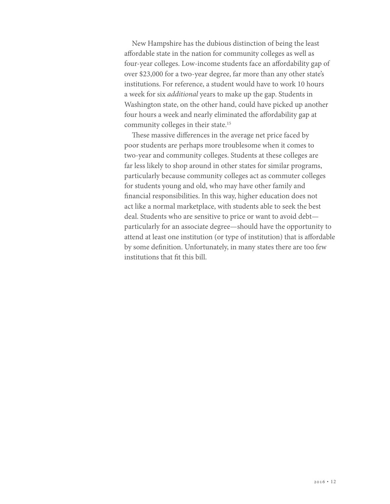New Hampshire has the dubious distinction of being the least afordable state in the nation for community colleges as well as four-year colleges. Low-income students face an afordability gap of over \$23,000 for a two-year degree, far more than any other state's institutions. For reference, a student would have to work 10 hours a week for six *additional* years to make up the gap. Students in Washington state, on the other hand, could have picked up another four hours a week and nearly eliminated the affordability gap at community colleges in their state.15

These massive differences in the average net price faced by poor students are perhaps more troublesome when it comes to two-year and community colleges. Students at these colleges are far less likely to shop around in other states for similar programs, particularly because community colleges act as commuter colleges for students young and old, who may have other family and fnancial responsibilities. In this way, higher education does not act like a normal marketplace, with students able to seek the best deal. Students who are sensitive to price or want to avoid debt particularly for an associate degree—should have the opportunity to attend at least one institution (or type of institution) that is afordable by some defnition. Unfortunately, in many states there are too few institutions that ft this bill.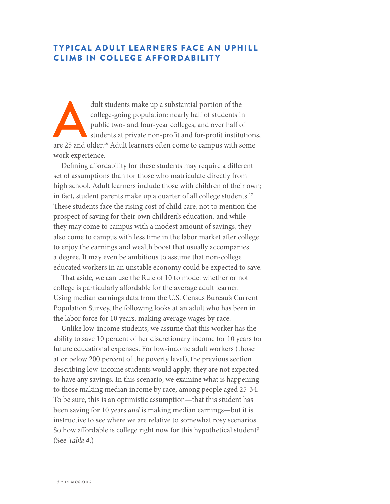# T YPICAL ADULT LEARNERS FACE AN UPHILL CLIMB IN COLLEGE AFFORDABILITY

dult students make up a substantial portion of the college-going population: nearly half of students ir public two- and four-year colleges, and over half of students at private non-profit and for-profit institution are 25 college-going population: nearly half of students in public two- and four-year colleges, and over half of students at private non-proft and for-proft institutions, are 25 and older.<sup>16</sup> Adult learners often come to campus with some work experience.

Defning afordability for these students may require a diferent set of assumptions than for those who matriculate directly from high school. Adult learners include those with children of their own; in fact, student parents make up a quarter of all college students.<sup>17</sup> These students face the rising cost of child care, not to mention the prospect of saving for their own children's education, and while they may come to campus with a modest amount of savings, they also come to campus with less time in the labor market after college to enjoy the earnings and wealth boost that usually accompanies a degree. It may even be ambitious to assume that non-college educated workers in an unstable economy could be expected to save.

That aside, we can use the Rule of 10 to model whether or not college is particularly afordable for the average adult learner. Using median earnings data from the U.S. Census Bureau's Current Population Survey, the following looks at an adult who has been in the labor force for 10 years, making average wages by race.

Unlike low-income students, we assume that this worker has the ability to save 10 percent of her discretionary income for 10 years for future educational expenses. For low-income adult workers (those at or below 200 percent of the poverty level), the previous section describing low-income students would apply: they are not expected to have any savings. In this scenario, we examine what is happening to those making median income by race, among people aged 25-34. To be sure, this is an optimistic assumption—that this student has been saving for 10 years *and* is making median earnings—but it is instructive to see where we are relative to somewhat rosy scenarios. So how affordable is college right now for this hypothetical student? (See *Table 4*.)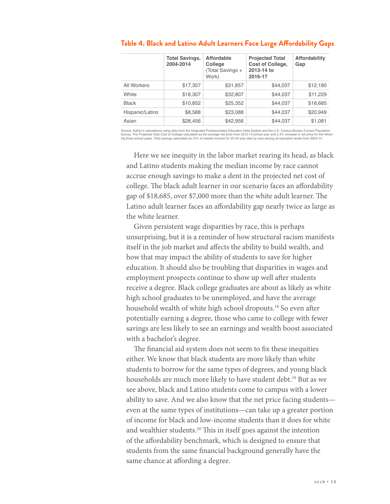|                 | <b>Total Savings,</b><br>2004-2014 | <b>Affordable</b><br>College<br>(Total Savings +<br>Work) | <b>Projected Total</b><br><b>Cost of College,</b><br>2013-14 to<br>2016-17 | <b>Affordability</b><br>Gap |
|-----------------|------------------------------------|-----------------------------------------------------------|----------------------------------------------------------------------------|-----------------------------|
| All Workers     | \$17,357                           | \$31,857                                                  | \$44,037                                                                   | \$12,180                    |
| White           | \$18,307                           | \$32,807                                                  | \$44,037                                                                   | \$11,229                    |
| <b>Black</b>    | \$10,852                           | \$25,352                                                  | \$44,037                                                                   | \$18,685                    |
| Hispanic/Latino | \$8,588                            | \$23,088                                                  | \$44,037                                                                   | \$20,949                    |
| Asian           | \$28,456                           | \$42,956                                                  | \$44,037                                                                   | \$1,081                     |

#### **Table 4. Black and Latino Adult Learners Face Large Afordability Gaps**

Source: Author's calculations using data from the Integrated Postsecondary Education Data System and the U.S. Census Bureau Current Population<br>Survey. The Projected Total Cost of College calculated as the average net price

Here we see inequity in the labor market rearing its head, as black and Latino students making the median income by race cannot accrue enough savings to make a dent in the projected net cost of college. The black adult learner in our scenario faces an affordability gap of \$18,685, over \$7,000 more than the white adult learner. The Latino adult learner faces an afordability gap nearly twice as large as the white learner.

Given persistent wage disparities by race, this is perhaps unsurprising, but it is a reminder of how structural racism manifests itself in the job market and afects the ability to build wealth, and how that may impact the ability of students to save for higher education. It should also be troubling that disparities in wages and employment prospects continue to show up well after students receive a degree. Black college graduates are about as likely as white high school graduates to be unemployed, and have the average household wealth of white high school dropouts.<sup>18</sup> So even after potentially earning a degree, those who came to college with fewer savings are less likely to see an earnings and wealth boost associated with a bachelor's degree.

The financial aid system does not seem to fix these inequities either. We know that black students are more likely than white students to borrow for the same types of degrees, and young black households are much more likely to have student debt.<sup>19</sup> But as we see above, black and Latino students come to campus with a lower ability to save. And we also know that the net price facing students even at the same types of institutions—can take up a greater portion of income for black and low-income students than it does for white and wealthier students.<sup>20</sup> This in itself goes against the intention of the afordability benchmark, which is designed to ensure that students from the same fnancial background generally have the same chance at afording a degree.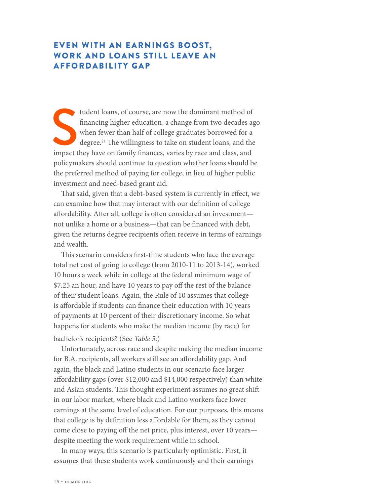# EVEN WITH AN EARNINGS BOOST, WORK AND LOANS STILL LEAVE AN AFFORDABILITY GAP

tudent loans, of course, are now the dominant method of financing higher education, a change from two decades a when fewer than half of college graduates borrowed for a degree.<sup>21</sup> The willingness to take on student loans, tudent loans, of course, are now the dominant method of fnancing higher education, a change from two decades ago when fewer than half of college graduates borrowed for a degree.<sup>21</sup> The willingness to take on student loans, and the policymakers should continue to question whether loans should be the preferred method of paying for college, in lieu of higher public investment and need-based grant aid.

That said, given that a debt-based system is currently in effect, we can examine how that may interact with our defnition of college afordability. Afer all, college is ofen considered an investment not unlike a home or a business—that can be fnanced with debt, given the returns degree recipients often receive in terms of earnings and wealth.

This scenario considers first-time students who face the average total net cost of going to college (from 2010-11 to 2013-14), worked 10 hours a week while in college at the federal minimum wage of \$7.25 an hour, and have 10 years to pay off the rest of the balance of their student loans. Again, the Rule of 10 assumes that college is afordable if students can fnance their education with 10 years of payments at 10 percent of their discretionary income. So what happens for students who make the median income (by race) for

## bachelor's recipients? (See *Table 5*.)

Unfortunately, across race and despite making the median income for B.A. recipients, all workers still see an afordability gap. And again, the black and Latino students in our scenario face larger afordability gaps (over \$12,000 and \$14,000 respectively) than white and Asian students. This thought experiment assumes no great shift in our labor market, where black and Latino workers face lower earnings at the same level of education. For our purposes, this means that college is by defnition less afordable for them, as they cannot come close to paying off the net price, plus interest, over 10 yearsdespite meeting the work requirement while in school.

In many ways, this scenario is particularly optimistic. First, it assumes that these students work continuously and their earnings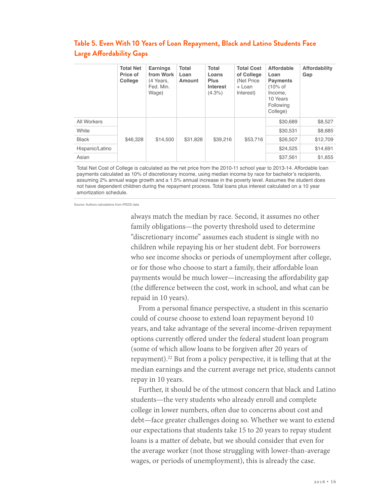|                 | <b>Total Net</b><br>Price of<br>College | <b>Earnings</b><br>from Work<br>(4 Years,<br>Fed. Min.<br>Wage) | Total<br>Loan<br>Amount | Total<br>Loans<br><b>Plus</b><br>Interest<br>$(4.3\%)$ | <b>Total Cost</b><br>of College<br>(Net Price)<br>+ Loan<br>Interest) | Affordable<br>Loan<br><b>Payments</b><br>$(10\% \text{ of }$<br>Income,<br>10 Years<br>Following<br>College) | Affordability<br>Gap |
|-----------------|-----------------------------------------|-----------------------------------------------------------------|-------------------------|--------------------------------------------------------|-----------------------------------------------------------------------|--------------------------------------------------------------------------------------------------------------|----------------------|
| All Workers     |                                         |                                                                 |                         |                                                        |                                                                       | \$30,689                                                                                                     | \$8,527              |
| White           |                                         |                                                                 |                         |                                                        |                                                                       | \$30,531                                                                                                     | \$8,685              |
| <b>Black</b>    | \$46,328                                | \$14,500                                                        | \$31,828                | \$39,216                                               | \$53,716                                                              | \$26,507                                                                                                     | \$12,709             |
| Hispanic/Latino |                                         |                                                                 |                         |                                                        |                                                                       | \$24,525                                                                                                     | \$14,691             |
| Asian           |                                         |                                                                 |                         |                                                        |                                                                       | \$37.561                                                                                                     | \$1.655              |

# **Table 5. Even With 10 Years of Loan Repayment, Black and Latino Students Face Large Afordability Gaps**

Total Net Cost of College is calculated as the net price from the 2010-11 school year to 2013-14. Affordable loan payments calculated as 10% of discretionary income, using median income by race for bachelor's recipients, assuming 2% annual wage growth and a 1.5% annual increase in the poverty level. Assumes the student does not have dependent children during the repayment process. Total loans plus interest calculated on a 10 year amortization schedule.

Source: Authors calculations from IPEDS data

always match the median by race. Second, it assumes no other family obligations—the poverty threshold used to determine "discretionary income" assumes each student is single with no children while repaying his or her student debt. For borrowers who see income shocks or periods of unemployment after college, or for those who choose to start a family, their afordable loan payments would be much lower—increasing the afordability gap (the diference between the cost, work in school, and what can be repaid in 10 years).

From a personal fnance perspective, a student in this scenario could of course choose to extend loan repayment beyond 10 years, and take advantage of the several income-driven repayment options currently ofered under the federal student loan program (some of which allow loans to be forgiven after 20 years of repayment).<sup>22</sup> But from a policy perspective, it is telling that at the median earnings and the current average net price, students cannot repay in 10 years.

Further, it should be of the utmost concern that black and Latino students—the very students who already enroll and complete college in lower numbers, often due to concerns about cost and debt—face greater challenges doing so. Whether we want to extend our expectations that students take 15 to 20 years to repay student loans is a matter of debate, but we should consider that even for the average worker (not those struggling with lower-than-average wages, or periods of unemployment), this is already the case.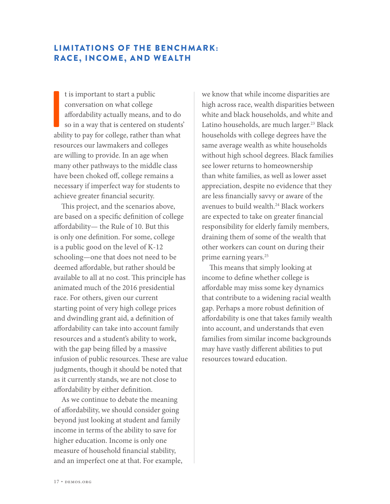# LIMITATIONS OF THE BENCHMARK: RACE, INCOME, AND WEALTH

I is important to start a public<br>conversation on what college<br>affordability actually means, and to do<br>so in a way that is centered on students<br>ability to pay for college, rather than what t is important to start a public conversation on what college afordability actually means, and to do so in a way that is centered on students' resources our lawmakers and colleges are willing to provide. In an age when many other pathways to the middle class have been choked off, college remains a necessary if imperfect way for students to achieve greater fnancial security.

This project, and the scenarios above, are based on a specifc defnition of college afordability— the Rule of 10. But this is only one defnition. For some, college is a public good on the level of K-12 schooling—one that does not need to be deemed afordable, but rather should be available to all at no cost. This principle has animated much of the 2016 presidential race. For others, given our current starting point of very high college prices and dwindling grant aid, a defnition of afordability can take into account family resources and a student's ability to work, with the gap being flled by a massive infusion of public resources. These are value judgments, though it should be noted that as it currently stands, we are not close to afordability by either defnition.

As we continue to debate the meaning of afordability, we should consider going beyond just looking at student and family income in terms of the ability to save for higher education. Income is only one measure of household fnancial stability, and an imperfect one at that. For example,

we know that while income disparities are high across race, wealth disparities between white and black households, and white and Latino households, are much larger.<sup>23</sup> Black households with college degrees have the same average wealth as white households without high school degrees. Black families see lower returns to homeownership than white families, as well as lower asset appreciation, despite no evidence that they are less fnancially savvy or aware of the avenues to build wealth.<sup>24</sup> Black workers are expected to take on greater fnancial responsibility for elderly family members, draining them of some of the wealth that other workers can count on during their prime earning years.<sup>25</sup>

This means that simply looking at income to defne whether college is afordable may miss some key dynamics that contribute to a widening racial wealth gap. Perhaps a more robust defnition of afordability is one that takes family wealth into account, and understands that even families from similar income backgrounds may have vastly diferent abilities to put resources toward education.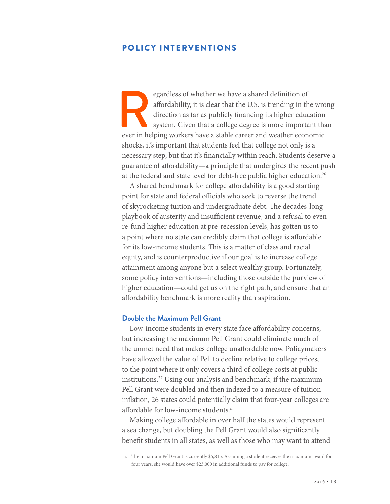## POLICY INTERVENTIONS

egardless of whether we have a shared definition of affordability, it is clear that the U.S. is trending in the wro direction as far as publicly financing its higher education system. Given that a college degree is more im afordability, it is clear that the U.S. is trending in the wrong direction as far as publicly fnancing its higher education system. Given that a college degree is more important than shocks, it's important that students feel that college not only is a necessary step, but that it's fnancially within reach. Students deserve a guarantee of afordability—a principle that undergirds the recent push at the federal and state level for debt-free public higher education.<sup>26</sup>

A shared benchmark for college afordability is a good starting point for state and federal officials who seek to reverse the trend of skyrocketing tuition and undergraduate debt. The decades-long playbook of austerity and insufficient revenue, and a refusal to even re-fund higher education at pre-recession levels, has gotten us to a point where no state can credibly claim that college is afordable for its low-income students. This is a matter of class and racial equity, and is counterproductive if our goal is to increase college attainment among anyone but a select wealthy group. Fortunately, some policy interventions—including those outside the purview of higher education—could get us on the right path, and ensure that an afordability benchmark is more reality than aspiration.

#### **Double the Maximum Pell Grant**

Low-income students in every state face afordability concerns, but increasing the maximum Pell Grant could eliminate much of the unmet need that makes college unafordable now. Policymakers have allowed the value of Pell to decline relative to college prices, to the point where it only covers a third of college costs at public institutions.27 Using our analysis and benchmark, if the maximum Pell Grant were doubled and then indexed to a measure of tuition infation, 26 states could potentially claim that four-year colleges are affordable for low-income students.<sup>ii</sup>

Making college afordable in over half the states would represent a sea change, but doubling the Pell Grant would also signifcantly beneft students in all states, as well as those who may want to attend

ii. The maximum Pell Grant is currently \$5,815. Assuming a student receives the maximum award for four years, she would have over \$23,000 in additional funds to pay for college.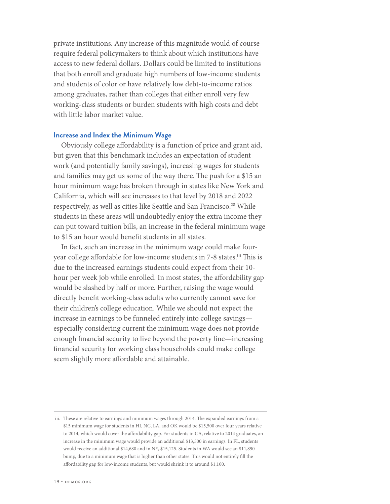private institutions. Any increase of this magnitude would of course require federal policymakers to think about which institutions have access to new federal dollars. Dollars could be limited to institutions that both enroll and graduate high numbers of low-income students and students of color or have relatively low debt-to-income ratios among graduates, rather than colleges that either enroll very few working-class students or burden students with high costs and debt with little labor market value.

#### **Increase and Index the Minimum Wage**

Obviously college afordability is a function of price and grant aid, but given that this benchmark includes an expectation of student work (and potentially family savings), increasing wages for students and families may get us some of the way there. The push for a \$15 an hour minimum wage has broken through in states like New York and California, which will see increases to that level by 2018 and 2022 respectively, as well as cities like Seattle and San Francisco.<sup>28</sup> While students in these areas will undoubtedly enjoy the extra income they can put toward tuition bills, an increase in the federal minimum wage to \$15 an hour would beneft students in all states.

In fact, such an increase in the minimum wage could make fouryear college affordable for low-income students in 7-8 states.<sup>iii</sup> This is due to the increased earnings students could expect from their 10 hour per week job while enrolled. In most states, the affordability gap would be slashed by half or more. Further, raising the wage would directly beneft working-class adults who currently cannot save for their children's college education. While we should not expect the increase in earnings to be funneled entirely into college savings especially considering current the minimum wage does not provide enough fnancial security to live beyond the poverty line—increasing fnancial security for working class households could make college seem slightly more afordable and attainable.

iii. These are relative to earnings and minimum wages through 2014. The expanded earnings from a \$15 minimum wage for students in HI, NC, LA, and OK would be \$15,500 over four years relative to 2014, which would cover the afordability gap. For students in CA, relative to 2014 graduates, an increase in the minimum wage would provide an additional \$13,500 in earnings. In FL, students would receive an additional \$14,680 and in NY, \$15,125. Students in WA would see an \$11,890 bump, due to a minimum wage that is higher than other states. This would not entirely fill the afordability gap for low-income students, but would shrink it to around \$1,100.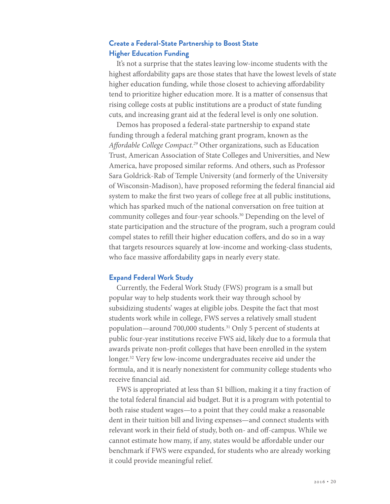## **Create a Federal-State Partnership to Boost State Higher Education Funding**

It's not a surprise that the states leaving low-income students with the highest affordability gaps are those states that have the lowest levels of state higher education funding, while those closest to achieving affordability tend to prioritize higher education more. It is a matter of consensus that rising college costs at public institutions are a product of state funding cuts, and increasing grant aid at the federal level is only one solution.

Demos has proposed a federal-state partnership to expand state funding through a federal matching grant program, known as the *A*f*ordable College Compact.29* Other organizations, such as Education Trust, American Association of State Colleges and Universities, and New America, have proposed similar reforms. And others, such as Professor Sara Goldrick-Rab of Temple University (and formerly of the University of Wisconsin-Madison), have proposed reforming the federal fnancial aid system to make the frst two years of college free at all public institutions, which has sparked much of the national conversation on free tuition at community colleges and four-year schools.<sup>30</sup> Depending on the level of state participation and the structure of the program, such a program could compel states to refll their higher education cofers, and do so in a way that targets resources squarely at low-income and working-class students, who face massive affordability gaps in nearly every state.

#### **Expand Federal Work Study**

Currently, the Federal Work Study (FWS) program is a small but popular way to help students work their way through school by subsidizing students' wages at eligible jobs. Despite the fact that most students work while in college, FWS serves a relatively small student population—around 700,000 students.31 Only 5 percent of students at public four-year institutions receive FWS aid, likely due to a formula that awards private non-proft colleges that have been enrolled in the system longer.32 Very few low-income undergraduates receive aid under the formula, and it is nearly nonexistent for community college students who receive fnancial aid.

FWS is appropriated at less than \$1 billion, making it a tiny fraction of the total federal fnancial aid budget. But it is a program with potential to both raise student wages—to a point that they could make a reasonable dent in their tuition bill and living expenses—and connect students with relevant work in their field of study, both on- and off-campus. While we cannot estimate how many, if any, states would be afordable under our benchmark if FWS were expanded, for students who are already working it could provide meaningful relief.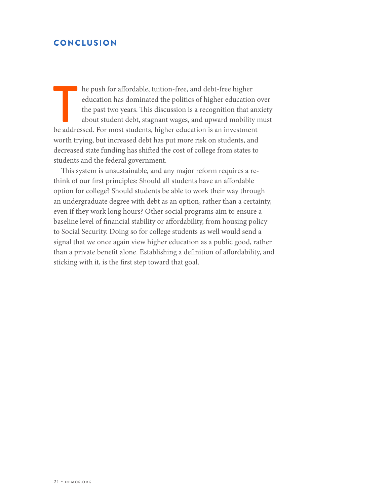# CONCLUSION

The push for affordable, tuition-free, and debt-free higher education has dominated the politics of higher education of the past two years. This discussion is a recognition that any about student debt, stagnant wages, and he push for afordable, tuition-free, and debt-free higher education has dominated the politics of higher education over the past two years. This discussion is a recognition that anxiety about student debt, stagnant wages, and upward mobility must worth trying, but increased debt has put more risk on students, and decreased state funding has shifed the cost of college from states to students and the federal government.

This system is unsustainable, and any major reform requires a rethink of our frst principles: Should all students have an afordable option for college? Should students be able to work their way through an undergraduate degree with debt as an option, rather than a certainty, even if they work long hours? Other social programs aim to ensure a baseline level of fnancial stability or afordability, from housing policy to Social Security. Doing so for college students as well would send a signal that we once again view higher education as a public good, rather than a private beneft alone. Establishing a defnition of afordability, and sticking with it, is the frst step toward that goal.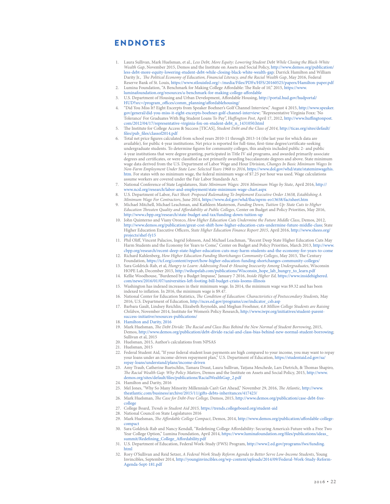## ENDNOTES

- 1. Laura Sullivan, Mark Huelsman, et al., *Less Debt, More Equity: Lowering Student Debt While Closing the Black-White Wealth Gap*, November 2015, Demos and the Institute on Assets and Social Policy, [http://www.demos.org/publication/](http://www.demos.org/publication/less-debt-more-equity-lowering-student-debt-while-closing-black-white-wealth-gap) [less-debt-more-equity-lowering-student-debt-while-closing-black-white-wealth-gap](http://www.demos.org/publication/less-debt-more-equity-lowering-student-debt-while-closing-black-white-wealth-gap)*;* Darrick Hamilton and William Darity Jr., T*e Political Economy of Education, Financial Literacy, and the Racial Wealth Gap*, May 2016, Federal Reserve Bank of St. Louis,<https://www.stlouisfed.org/~/media/Files/PDFs/HFS/20160525/papers/Hamilton-paper.pdf>
- 2. Lumina Foundation, "A Benchmark for Making College Affordable: The Rule of 10," 2015, [https://www.](https://www.luminafoundation.org/resources/a-benchmark-for-making-college-affordable) [luminafoundation.org/resources/a-benchmark-for-making-college-a](https://www.luminafoundation.org/resources/a-benchmark-for-making-college-affordable)fordable
- 3. U.S. Department of Housing and Urban Development, Afordable Housing, [http://portal.hud.gov/hudportal/](http://portal.hud.gov/hudportal/HUD?src=/program_offices/comm_planning/affordablehousing/) [HUD?src=/program\\_o](http://portal.hud.gov/hudportal/HUD?src=/program_offices/comm_planning/affordablehousing/)ffices/comm\_planning/affordablehousing/
- 4. "Did You Miss It? Eight Excerpts from Speaker Boehner's Golf Channel Interview," August 4 2015, [http://www.speaker.](http://www.speaker.gov/general/did-you-miss-it-eight-excerpts-boehner-golf-channel-interview) [gov/general/did-you-miss-it-eight-excerpts-boehner-golf-channel-interview;](http://www.speaker.gov/general/did-you-miss-it-eight-excerpts-boehner-golf-channel-interview) "Representative Virginia Foxx: 'No Tolerance' For Graduates With Big Student Loans To Pay", *Hu*f*ngton Post*, April 17, 2012, [http://www.hu](http://www.huffingtonpost.com/2012/04/17/representative-virginia-fox-on-student-debt_n_1431050.html)fngtonpost. [com/2012/04/17/representative-virginia-fox-on-student-debt\\_n\\_1431050.html](http://www.huffingtonpost.com/2012/04/17/representative-virginia-fox-on-student-debt_n_1431050.html)
- 5. Te Institute for College Access & Success [TICAS], *Student Debt and the Class of 2014,* [http://ticas.org/sites/default/](http://ticas.org/sites/default/files/pub_files/classof2014.pdf) fles/pub\_f[les/classof2014.pdf](http://ticas.org/sites/default/files/pub_files/classof2014.pdf)
- 6. Total net price fgures calculated from school years 2010-11 through 2013-14 (the last year for which data are available), for public 4-year institutions. Net price is reported for full-time, frst-time degree/certifcate-seeking undergraduate students. To determine fgures for community colleges, this analysis included public 2- and public 4-year institutions that were degree granting, participated in Title IV aid programs, and awarded primarily associate degrees and certifcates, or were classifed as not primarily awarding baccalaureate degrees and above. State minimum wage data derived from the U.S. Department of Labor Wage and Hour Division, *Changes In Basic Minimum Wages In Non-Farm Employment Under State Law: Selected Years 1968 to 2016*, [https://www.dol.gov/whd/state/stateminwagehis.](https://www.dol.gov/whd/state/stateminwagehis.htm) [htm](https://www.dol.gov/whd/state/stateminwagehis.htm). For states with no minimum wage, the federal minimum wage of \$7.25 per hour was used. Wage calculations assume workers are covered under the Fair Labor Standards Act.
- 7. National Conference of State Legislatures, *State Minimum Wages: 2016 Minimum Wage by State*, April 2016, [http://](http://www.ncsl.org/research/labor-and-employment/state-minimum-wage-chart.aspx) [www.ncsl.org/research/labor-and-employment/state-minimum-wage-chart.aspx](http://www.ncsl.org/research/labor-and-employment/state-minimum-wage-chart.aspx)
- 8. U.S. Department of Labor, *Fact Sheet: Proposed Rulemaking To Implement Executive Order 13658, Establishing A Minimum Wage For Contractors*, June 2014, https://www.dol.gov/whd/f[sa/nprm-eo13658/factsheet.htm](https://www.dol.gov/whd/flsa/nprm-eo13658/factsheet.htm)
- 9. Michael Mitchell, Michael Leachman, and Kathleen Masterson, *Funding Down, Tuition Up: State Cuts to Higher Education* T*reaten Quality and A*f*ordability at Public Colleges*, Center on Budget and Policy Priorities, May 2016, <http://www.cbpp.org/research/state-budget-and-tax/funding-down-tuition-up>
- 10. John Quinterno and Viany Orozco, *How Higher Education Cuts Undermine the Future Middle Class*, Demos, 2012, http://www.demos.org/publication/great-cost-shif[-how-higher-education-cuts-undermine-future-middle-class;](http://www.demos.org/publication/great-cost-shift-how-higher-education-cuts-undermine-future-middle-class) State Higher Education Executive Officers, *State Higher Education Finance Report 2015*, April 2016, [http://www.sheeo.org/](http://www.sheeo.org/projects/shef-fy15) [projects/shef-fy15](http://www.sheeo.org/projects/shef-fy15)
- 11. Phil Olif, Vincent Palacios, Ingrid Johnson, And Michael Leachman, "Recent Deep State Higher Education Cuts May Harm Students and the Economy for Years to Come," Center on Budget and Policy Priorities, March 2013, [http://www.](http://www.cbpp.org/research/recent-deep-state-higher-education-cuts-may-harm-students-and-the-economy-for-years-to-come) [cbpp.org/research/recent-deep-state-higher-education-cuts-may-harm-students-and-the-economy-for-years-to-come](http://www.cbpp.org/research/recent-deep-state-higher-education-cuts-may-harm-students-and-the-economy-for-years-to-come)
- 12. Richard Kahlenberg, *How Higher Education Funding Shortchanges Community Colleges*, May 2015, The Century Foundation,<https://tcf.org/content/report/how-higher-education-funding-shortchanges-community-colleges/>
- 13. Sara Goldrick-Rab, et al, *Hungry to Learn: Addressing Food & Housing Insecurity Among Undergraduates*, Wisconsin HOPE Lab, December 2015, [http://wihopelab.com/publications/Wisconsin\\_hope\\_lab\\_hungry\\_to\\_learn.pdf](http://wihopelab.com/publications/Wisconsin_hope_lab_hungry_to_learn.pdf)
- 14. Kellie Woodhouse, "Burdened by a Budget Impasse," January 7 2016, *Inside Higher Ed,* [https://www.insidehighered.](https://www.insidehighered.com/news/2016/01/07/universities-left-footing-bill-budget-crisis-looms-illinois) com/news/2016/01/07/universities-lef[-footing-bill-budget-crisis-looms-illinois](https://www.insidehighered.com/news/2016/01/07/universities-left-footing-bill-budget-crisis-looms-illinois)
- 15. Washington has indexed increases in their minimum wage. In 2014, the minimum wage was \$9.32 and has been indexed to infation. In 2016, the minimum wage is \$9.47.
- 16. National Center for Education Statistics, T*e Condition of Education: Characteristics of Postsecondary Students,* May 2016, U.S. Department of Education, [http://nces.ed.gov/programs/coe/indicator\\_csb.asp](http://nces.ed.gov/programs/coe/indicator_csb.asp)
- 17. Barbara Gault, Lindsey Reichlin, Elizabeth Reynolds, and Meghan Froehner, *4.8 Million College Students are Raising Children*, November 2014, Institute for Women's Policy Research, http://www.iwpr.org/initiatives/student-parentsuccess-initiative/resources-publications/
- 18. Hamilton and Darity, 2016
- 19. Mark Huelsman, T*e Debt Divide:* T*e Racial and Class Bias Behind the New Normal of Student Borrowing*, 2015, Demos, [http://www.demos.org/publication/debt-divide-racial-and-class-bias-behind-new-normal-student-borrowing](http://www.demos.org/publication/debt-divide-racial-and-class-bias-behind-new-normal-student-borrowi); Sullivan et al, 2015
- 20. Huelsman, 2015, Author's calculations from NPSAS
- 21. Huelsman, 2015
- 22. Federal Student Aid, "If your federal student loan payments are high compared to your income, you may want to repay your loans under an income-driven repayment plan," U.S. Department of Education, [https://studentaid.ed.gov/sa/](https://studentaid.ed.gov/sa/repay-loans/understand/plans/income-driven) [repay-loans/understand/plans/income-driven](https://studentaid.ed.gov/sa/repay-loans/understand/plans/income-driven)
- 23. Amy Traub, Catherine Ruetschlin, Tamara Draut, Laura Sullivan, Tatjana Meschede, Lars Dietrich, & Tomas Shapiro*,*  T*e Racial Wealth Gap: Why Policy Matters*, Demos and the Institute on Assets and Social Policy, 2015, [http://www.](http://www.demos.org/sites/default/files/publications/RacialWealthGap_2.pdf) demos.org/sites/default/f[les/publications/RacialWealthGap\\_2.pdf](http://www.demos.org/sites/default/files/publications/RacialWealthGap_2.pdf)
- 24. Hamilton and Darity, 2016
- 25. Mel Jones, "Why So Many Minority Millennials Can't Get Ahead," November 29, 2016, T*e Atlantic*, [http://www.](http://www.theatlantic.com/business/archive/2015/11/gifts-debts-inheritances/417423/) [theatlantic.com/business/archive/2015/11/gi](http://www.theatlantic.com/business/archive/2015/11/gifts-debts-inheritances/417423/)fs-debts-inheritances/417423/
- 26. Mark Huelsman, T*e Case for Debt-Free College,* Demos, 2015, [http://www.demos.org/publication/case-debt-free](http://www.demos.org/publication/case-debt-free-college)[college](http://www.demos.org/publication/case-debt-free-college)
- 27. College Board, *Trends in Student Aid 2015,* <https://trends.collegeboard.org/student-aid>
- 28. National Council on State Legislatures 2016
- 29. Mark Huelsman, T*e A*f*ordable College Compact*, Demos, 2014, [http://www.demos.org/publication/a](http://www.demos.org/publication/affordable-college-compact)fordable-college[compact](http://www.demos.org/publication/affordable-college-compact)
- 30. Sara Goldrick-Rab and Nancy Kendall, "Redefning College Afordability: Securing America's Future with a Free Two Year College Option," Lumina Foundation, April 2014, [https://www.luminafoundation.org/](https://www.luminafoundation.org/files/publications/ideas_summit/Redefining_College_Affordability.pd)files/publications/ideas\_ summit/Redef[ning\\_College\\_A](https://www.luminafoundation.org/files/publications/ideas_summit/Redefining_College_Affordability.pd)fordability.pdf
- 31. U.S. Department of Education, Federal Work-Study (FWS) Program, [http://www2.ed.gov/programs/fws/funding.](http://www2.ed.gov/programs/fws/funding.html) [html](http://www2.ed.gov/programs/fws/funding.html)
- 32. Rory O'Sullivan and Reid Setzer, *A Federal Work Study Reform Agenda to Better Serve Low-Income Students*, Young Invincibles, September 2014, [http://younginvincibles.org/wp-content/uploads/2014/09/Federal-Work-Study-Reform-](http://younginvincibles.org/wp-content/uploads/2014/09/Federal-Work-Study-Reform-Agenda-Sept-181.pdf)[Agenda-Sept-181.pdf](http://younginvincibles.org/wp-content/uploads/2014/09/Federal-Work-Study-Reform-Agenda-Sept-181.pdf)